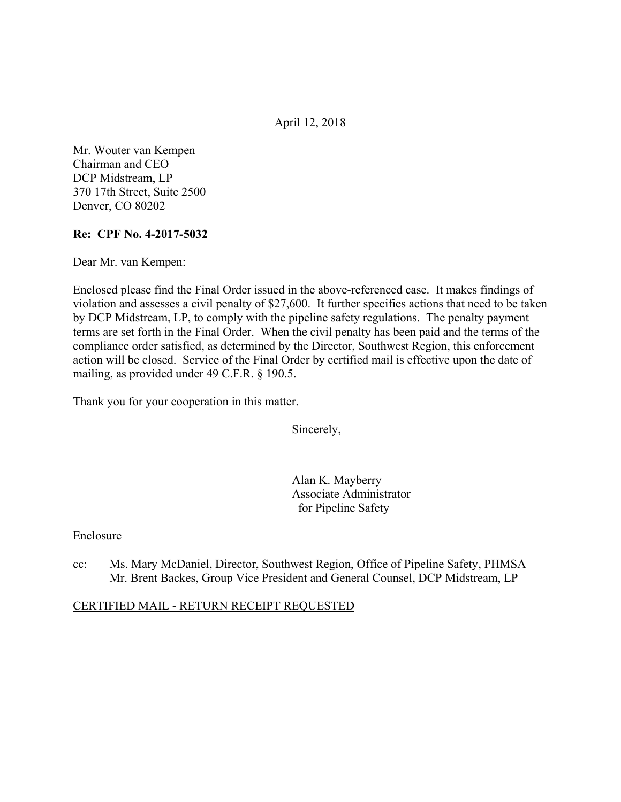April 12, 2018

Mr. Wouter van Kempen Chairman and CEO DCP Midstream, LP 370 17th Street, Suite 2500 Denver, CO 80202

### **Re: CPF No. 4-2017-5032**

Dear Mr. van Kempen:

Enclosed please find the Final Order issued in the above-referenced case. It makes findings of violation and assesses a civil penalty of \$27,600. It further specifies actions that need to be taken by DCP Midstream, LP, to comply with the pipeline safety regulations. The penalty payment terms are set forth in the Final Order. When the civil penalty has been paid and the terms of the compliance order satisfied, as determined by the Director, Southwest Region, this enforcement action will be closed. Service of the Final Order by certified mail is effective upon the date of mailing, as provided under 49 C.F.R. § 190.5.

Thank you for your cooperation in this matter.

Sincerely,

Alan K. Mayberry Associate Administrator for Pipeline Safety

#### Enclosure

cc: Ms. Mary McDaniel, Director, Southwest Region, Office of Pipeline Safety, PHMSA Mr. Brent Backes, Group Vice President and General Counsel, DCP Midstream, LP

#### CERTIFIED MAIL - RETURN RECEIPT REQUESTED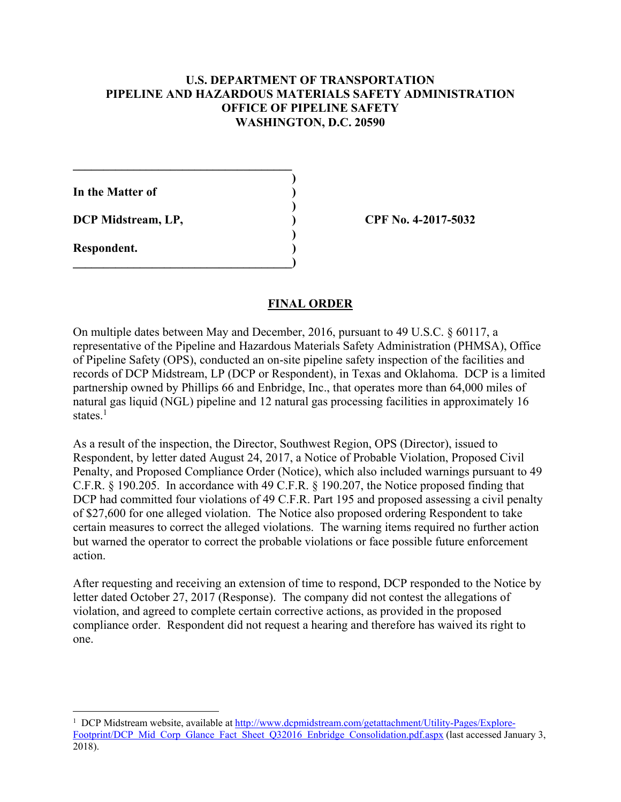## **U.S. DEPARTMENT OF TRANSPORTATION PIPELINE AND HAZARDOUS MATERIALS SAFETY ADMINISTRATION OFFICE OF PIPELINE SAFETY WASHINGTON, D.C. 20590**

**)**

 **)**

 **)**

**In the Matter of )**

**DCP Midstream, LP, ) CPF No. 4-2017-5032**

 $\mathcal{L}=\{1,2,3,4,5\}$ 

**\_\_\_\_\_\_\_\_\_\_\_\_\_\_\_\_\_\_\_\_\_\_\_\_\_\_\_\_\_\_\_\_\_\_\_\_)** 

**Respondent. )** 

 $\overline{a}$ 

### **FINAL ORDER**

On multiple dates between May and December, 2016, pursuant to 49 U.S.C. § 60117, a representative of the Pipeline and Hazardous Materials Safety Administration (PHMSA), Office of Pipeline Safety (OPS), conducted an on-site pipeline safety inspection of the facilities and records of DCP Midstream, LP (DCP or Respondent), in Texas and Oklahoma. DCP is a limited partnership owned by Phillips 66 and Enbridge, Inc., that operates more than 64,000 miles of natural gas liquid (NGL) pipeline and 12 natural gas processing facilities in approximately 16 states.<sup>1</sup>

As a result of the inspection, the Director, Southwest Region, OPS (Director), issued to Respondent, by letter dated August 24, 2017, a Notice of Probable Violation, Proposed Civil Penalty, and Proposed Compliance Order (Notice), which also included warnings pursuant to 49 C.F.R. § 190.205. In accordance with 49 C.F.R. § 190.207, the Notice proposed finding that DCP had committed four violations of 49 C.F.R. Part 195 and proposed assessing a civil penalty of \$27,600 for one alleged violation. The Notice also proposed ordering Respondent to take certain measures to correct the alleged violations. The warning items required no further action but warned the operator to correct the probable violations or face possible future enforcement action.

 one. After requesting and receiving an extension of time to respond, DCP responded to the Notice by letter dated October 27, 2017 (Response). The company did not contest the allegations of violation, and agreed to complete certain corrective actions, as provided in the proposed compliance order. Respondent did not request a hearing and therefore has waived its right to

<sup>&</sup>lt;sup>1</sup> DCP Midstream website, available at http://www.dcpmidstream.com/getattachment/Utility-Pages/Explore-Footprint/DCP Mid Corp Glance Fact Sheet Q32016 Enbridge Consolidation.pdf.aspx (last accessed January 3, 2018).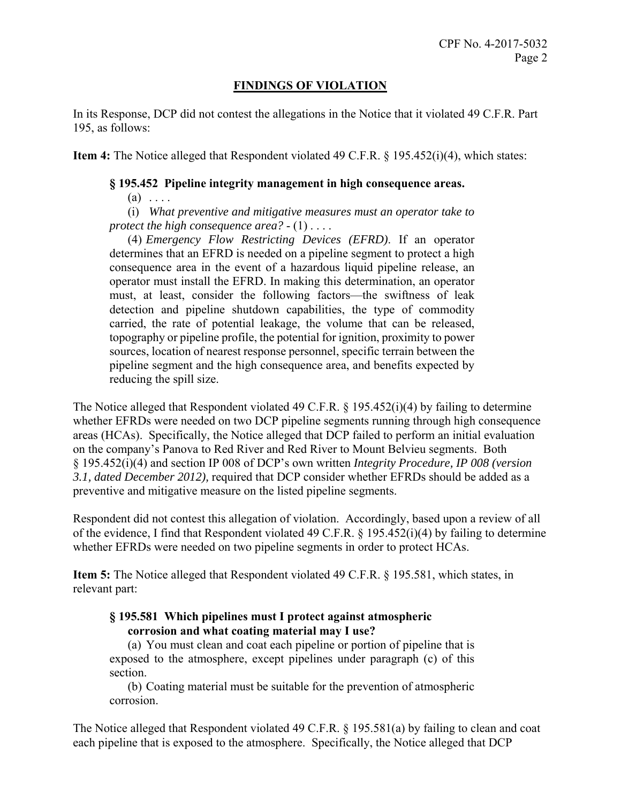## **FINDINGS OF VIOLATION**

In its Response, DCP did not contest the allegations in the Notice that it violated 49 C.F.R. Part 195, as follows:

**Item 4:** The Notice alleged that Respondent violated 49 C.F.R. § 195.452(i)(4), which states:

#### **§ 195.452 Pipeline integrity management in high consequence areas.**

 $(a) \ldots$ 

(i) *What preventive and mitigative measures must an operator take to protect the high consequence area?* - (1) . . . .

 reducing the spill size. (4) *Emergency Flow Restricting Devices (EFRD)*. If an operator determines that an EFRD is needed on a pipeline segment to protect a high consequence area in the event of a hazardous liquid pipeline release, an operator must install the EFRD. In making this determination, an operator must, at least, consider the following factors—the swiftness of leak detection and pipeline shutdown capabilities, the type of commodity carried, the rate of potential leakage, the volume that can be released, topography or pipeline profile, the potential for ignition, proximity to power sources, location of nearest response personnel, specific terrain between the pipeline segment and the high consequence area, and benefits expected by

The Notice alleged that Respondent violated 49 C.F.R. § 195.452(i)(4) by failing to determine whether EFRDs were needed on two DCP pipeline segments running through high consequence areas (HCAs). Specifically, the Notice alleged that DCP failed to perform an initial evaluation on the company's Panova to Red River and Red River to Mount Belvieu segments. Both § 195.452(i)(4) and section IP 008 of DCP's own written *Integrity Procedure, IP 008 (version 3.1, dated December 2012),* required that DCP consider whether EFRDs should be added as a preventive and mitigative measure on the listed pipeline segments.

Respondent did not contest this allegation of violation. Accordingly, based upon a review of all of the evidence, I find that Respondent violated 49 C.F.R.  $\S$  195.452(i)(4) by failing to determine whether EFRDs were needed on two pipeline segments in order to protect HCAs.

**Item 5:** The Notice alleged that Respondent violated 49 C.F.R. § 195.581, which states, in relevant part:

## **§ 195.581 Which pipelines must I protect against atmospheric corrosion and what coating material may I use?**

 exposed to the atmosphere, except pipelines under paragraph (c) of this (a) You must clean and coat each pipeline or portion of pipeline that is section.

(b) Coating material must be suitable for the prevention of atmospheric corrosion.

The Notice alleged that Respondent violated 49 C.F.R. § 195.581(a) by failing to clean and coat each pipeline that is exposed to the atmosphere. Specifically, the Notice alleged that DCP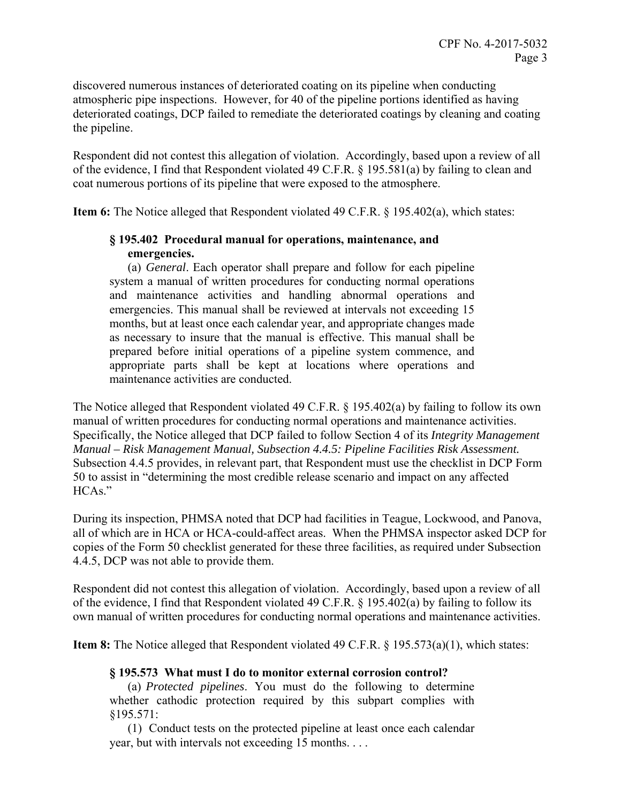discovered numerous instances of deteriorated coating on its pipeline when conducting atmospheric pipe inspections. However, for 40 of the pipeline portions identified as having deteriorated coatings, DCP failed to remediate the deteriorated coatings by cleaning and coating the pipeline.

Respondent did not contest this allegation of violation. Accordingly, based upon a review of all of the evidence, I find that Respondent violated 49 C.F.R. § 195.581(a) by failing to clean and coat numerous portions of its pipeline that were exposed to the atmosphere.

**Item 6:** The Notice alleged that Respondent violated 49 C.F.R. § 195.402(a), which states:

# **§ 195.402 Procedural manual for operations, maintenance, and emergencies.**

 system a manual of written procedures for conducting normal operations (a) *General*. Each operator shall prepare and follow for each pipeline and maintenance activities and handling abnormal operations and emergencies. This manual shall be reviewed at intervals not exceeding 15 months, but at least once each calendar year, and appropriate changes made as necessary to insure that the manual is effective. This manual shall be prepared before initial operations of a pipeline system commence, and appropriate parts shall be kept at locations where operations and maintenance activities are conducted.

The Notice alleged that Respondent violated 49 C.F.R. § 195.402(a) by failing to follow its own manual of written procedures for conducting normal operations and maintenance activities. Specifically, the Notice alleged that DCP failed to follow Section 4 of its *Integrity Management Manual – Risk Management Manual, Subsection 4.4.5: Pipeline Facilities Risk Assessment.*  Subsection 4.4.5 provides, in relevant part, that Respondent must use the checklist in DCP Form 50 to assist in "determining the most credible release scenario and impact on any affected HCAs."

 4.4.5, DCP was not able to provide them. During its inspection, PHMSA noted that DCP had facilities in Teague, Lockwood, and Panova, all of which are in HCA or HCA-could-affect areas. When the PHMSA inspector asked DCP for copies of the Form 50 checklist generated for these three facilities, as required under Subsection

Respondent did not contest this allegation of violation. Accordingly, based upon a review of all of the evidence, I find that Respondent violated 49 C.F.R. § 195.402(a) by failing to follow its own manual of written procedures for conducting normal operations and maintenance activities.

**Item 8:** The Notice alleged that Respondent violated 49 C.F.R. § 195.573(a)(1), which states:

# **§ 195.573 What must I do to monitor external corrosion control?**

(a) *Protected pipelines*. You must do the following to determine whether cathodic protection required by this subpart complies with §195.571:

(1) Conduct tests on the protected pipeline at least once each calendar year, but with intervals not exceeding 15 months. . . .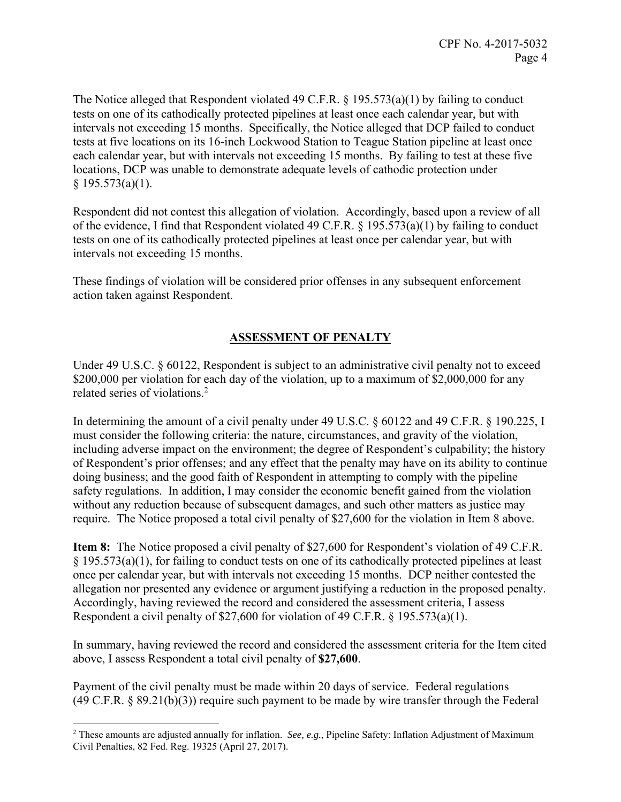The Notice alleged that Respondent violated 49 C.F.R. § 195.573(a)(1) by failing to conduct tests on one of its cathodically protected pipelines at least once each calendar year, but with intervals not exceeding 15 months. Specifically, the Notice alleged that DCP failed to conduct tests at five locations on its 16-inch Lockwood Station to Teague Station pipeline at least once each calendar year, but with intervals not exceeding 15 months. By failing to test at these five locations, DCP was unable to demonstrate adequate levels of cathodic protection under  $§ 195.573(a)(1).$ 

Respondent did not contest this allegation of violation. Accordingly, based upon a review of all of the evidence, I find that Respondent violated 49 C.F.R. § 195.573(a)(1) by failing to conduct tests on one of its cathodically protected pipelines at least once per calendar year, but with intervals not exceeding 15 months.

These findings of violation will be considered prior offenses in any subsequent enforcement action taken against Respondent.

# **ASSESSMENT OF PENALTY**

Under 49 U.S.C. § 60122, Respondent is subject to an administrative civil penalty not to exceed \$200,000 per violation for each day of the violation, up to a maximum of \$2,000,000 for any related series of violations.2

In determining the amount of a civil penalty under 49 U.S.C. § 60122 and 49 C.F.R. § 190.225, I must consider the following criteria: the nature, circumstances, and gravity of the violation, including adverse impact on the environment; the degree of Respondent's culpability; the history of Respondent's prior offenses; and any effect that the penalty may have on its ability to continue doing business; and the good faith of Respondent in attempting to comply with the pipeline safety regulations. In addition, I may consider the economic benefit gained from the violation without any reduction because of subsequent damages, and such other matters as justice may require. The Notice proposed a total civil penalty of \$27,600 for the violation in Item 8 above.

**Item 8:** The Notice proposed a civil penalty of \$27,600 for Respondent's violation of 49 C.F.R. § 195.573(a)(1), for failing to conduct tests on one of its cathodically protected pipelines at least once per calendar year, but with intervals not exceeding 15 months. DCP neither contested the allegation nor presented any evidence or argument justifying a reduction in the proposed penalty. Accordingly, having reviewed the record and considered the assessment criteria, I assess Respondent a civil penalty of \$27,600 for violation of 49 C.F.R. § 195.573(a)(1).

In summary, having reviewed the record and considered the assessment criteria for the Item cited above, I assess Respondent a total civil penalty of **\$27,600**.

Payment of the civil penalty must be made within 20 days of service. Federal regulations  $(49 \text{ C.F.R. } § 89.21(b)(3))$  require such payment to be made by wire transfer through the Federal

 $\overline{a}$ 2 These amounts are adjusted annually for inflation. *See, e.g.*, Pipeline Safety: Inflation Adjustment of Maximum Civil Penalties, 82 Fed. Reg. 19325 (April 27, 2017).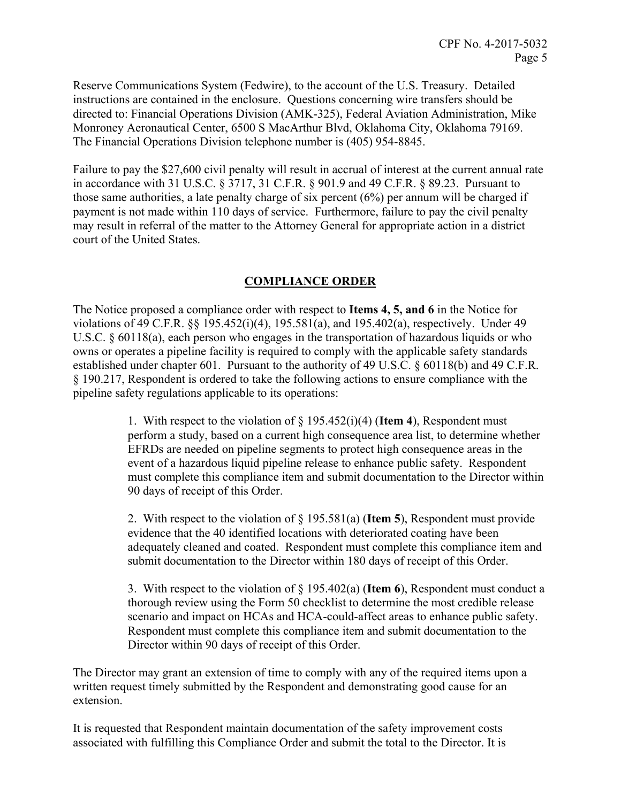Reserve Communications System (Fedwire), to the account of the U.S. Treasury. Detailed instructions are contained in the enclosure. Questions concerning wire transfers should be directed to: Financial Operations Division (AMK-325), Federal Aviation Administration, Mike Monroney Aeronautical Center, 6500 S MacArthur Blvd, Oklahoma City, Oklahoma 79169. The Financial Operations Division telephone number is (405) 954-8845.

Failure to pay the \$27,600 civil penalty will result in accrual of interest at the current annual rate in accordance with 31 U.S.C. § 3717, 31 C.F.R. § 901.9 and 49 C.F.R. § 89.23. Pursuant to those same authorities, a late penalty charge of six percent (6%) per annum will be charged if payment is not made within 110 days of service. Furthermore, failure to pay the civil penalty may result in referral of the matter to the Attorney General for appropriate action in a district court of the United States.

## **COMPLIANCE ORDER**

The Notice proposed a compliance order with respect to **Items 4, 5, and 6** in the Notice for violations of 49 C.F.R. §§ 195.452(i)(4), 195.581(a), and 195.402(a), respectively. Under 49 U.S.C. § 60118(a), each person who engages in the transportation of hazardous liquids or who owns or operates a pipeline facility is required to comply with the applicable safety standards established under chapter 601. Pursuant to the authority of 49 U.S.C. § 60118(b) and 49 C.F.R. § 190.217, Respondent is ordered to take the following actions to ensure compliance with the pipeline safety regulations applicable to its operations:

> 1. With respect to the violation of § 195.452(i)(4) (**Item 4**), Respondent must perform a study, based on a current high consequence area list, to determine whether EFRDs are needed on pipeline segments to protect high consequence areas in the event of a hazardous liquid pipeline release to enhance public safety. Respondent must complete this compliance item and submit documentation to the Director within 90 days of receipt of this Order.

> 2. With respect to the violation of § 195.581(a) (**Item 5**), Respondent must provide evidence that the 40 identified locations with deteriorated coating have been adequately cleaned and coated. Respondent must complete this compliance item and submit documentation to the Director within 180 days of receipt of this Order.

> 3. With respect to the violation of § 195.402(a) (**Item 6**), Respondent must conduct a thorough review using the Form 50 checklist to determine the most credible release scenario and impact on HCAs and HCA-could-affect areas to enhance public safety. Respondent must complete this compliance item and submit documentation to the Director within 90 days of receipt of this Order.

The Director may grant an extension of time to comply with any of the required items upon a written request timely submitted by the Respondent and demonstrating good cause for an extension.

It is requested that Respondent maintain documentation of the safety improvement costs associated with fulfilling this Compliance Order and submit the total to the Director. It is